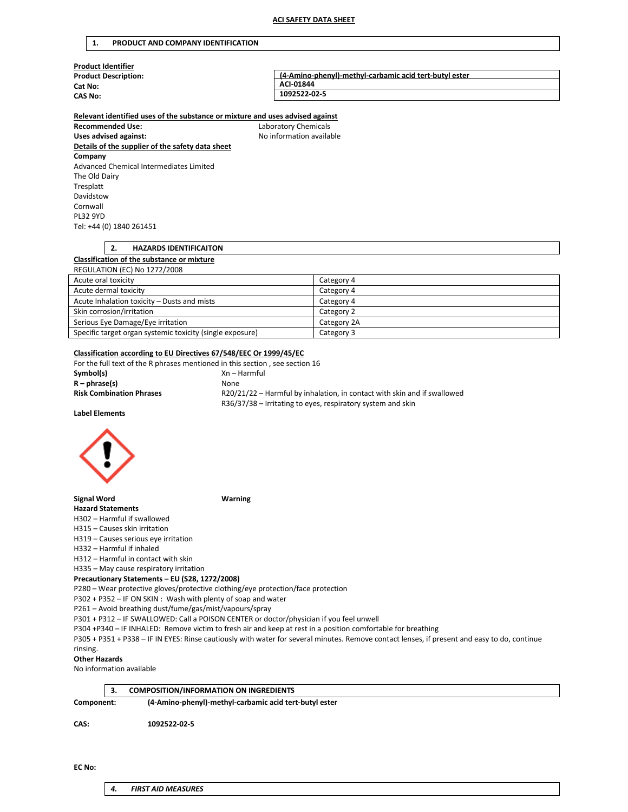#### **1. PRODUCT AND COMPANY IDENTIFICATION**

| <b>Product Identifier</b>   |                                                        |
|-----------------------------|--------------------------------------------------------|
| <b>Product Description:</b> | (4-Amino-phenyl)-methyl-carbamic acid tert-butyl ester |
| Cat No:                     | ACI-01844                                              |
| <b>CAS No:</b>              | 1092522-02-5                                           |
|                             |                                                        |

# **Relevant identified uses of the substance or mixture and uses advised against**

**Recommended Use:** Laboratory Chemicals Uses advised against: **No information available Details of the supplier of the safety data sheet Company** Advanced Chemical Intermediates Limited The Old Dairy Tresplatt Davidstow Cornwall PL32 9YD Tel: +44 (0) 1840 261451

# **2. HAZARDS IDENTIFICAITON**

#### **Classification of the substance or mixture** REGULATION (EC) No 1272/2008

| <b>INCODERTION (CC) NO 1272/2000</b>                      |             |
|-----------------------------------------------------------|-------------|
| Acute oral toxicity                                       | Category 4  |
| Acute dermal toxicity                                     | Category 4  |
| Acute Inhalation toxicity - Dusts and mists               | Category 4  |
| Skin corrosion/irritation                                 | Category 2  |
| Serious Eye Damage/Eye irritation                         | Category 2A |
| Specific target organ systemic toxicity (single exposure) | Category 3  |

# **Classification according to EU Directives 67/548/EEC Or 1999/45/EC**

| For the full text of the R phrases mentioned in this section, see section 16 |                                                                                                                                         |
|------------------------------------------------------------------------------|-----------------------------------------------------------------------------------------------------------------------------------------|
| Symbol(s)                                                                    | Xn – Harmful                                                                                                                            |
| $R - phrase(s)$                                                              | <b>None</b>                                                                                                                             |
| <b>Risk Combination Phrases</b>                                              | R20/21/22 - Harmful by inhalation, in contact with skin and if swallowed<br>R36/37/38 – Irritating to eyes, respiratory system and skin |
| <b>Label Elements</b>                                                        |                                                                                                                                         |



**Signal Word Warning**

# **Hazard Statements**

H302 – Harmful if swallowed

H315 – Causes skin irritation

H319 – Causes serious eye irritation

H332 – Harmful if inhaled

H312 – Harmful in contact with skin

H335 – May cause respiratory irritation

**Precautionary Statements – EU (S28, 1272/2008)**

P280 – Wear protective gloves/protective clothing/eye protection/face protection

P302 + P352 – IF ON SKIN : Wash with plenty of soap and water

P261 – Avoid breathing dust/fume/gas/mist/vapours/spray

P301 + P312 – IF SWALLOWED: Call a POISON CENTER or doctor/physician if you feel unwell

P304 +P340 – IF INHALED: Remove victim to fresh air and keep at rest in a position comfortable for breathing

P305 + P351 + P338 – IF IN EYES: Rinse cautiously with water for several minutes. Remove contact lenses, if present and easy to do, continue rinsing.

# **Other Hazards**

No information available

|            | <b>COMPOSITION/INFORMATION ON INGREDIENTS</b>          |
|------------|--------------------------------------------------------|
| Component: | (4-Amino-phenyl)-methyl-carbamic acid tert-butyl ester |
| CAS:       | 1092522-02-5                                           |

*4. FIRST AID MEASURES*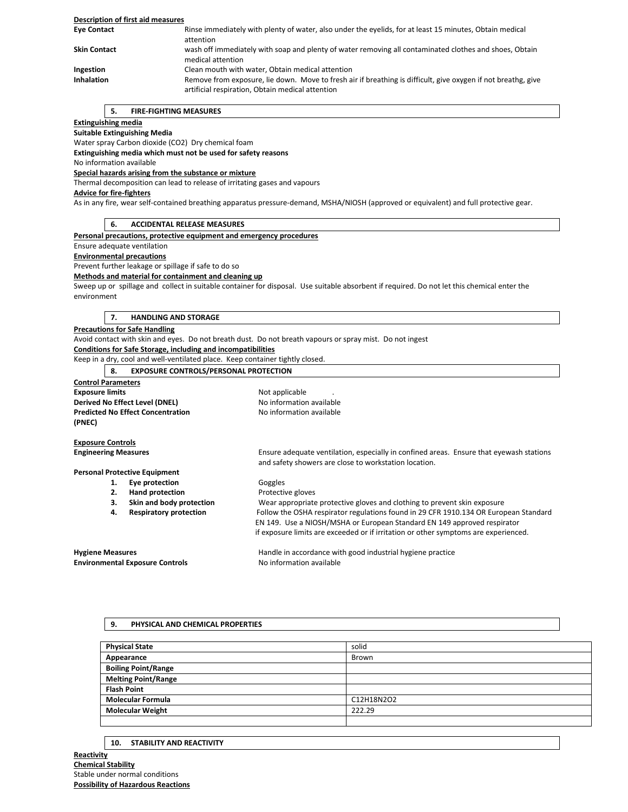### **Description of first aid measures Eye Contact** Rinse immediately with plenty of water, also under the eyelids, for at least 15 minutes, Obtain medical attention **Skin Contact** wash off immediately with soap and plenty of water removing all contaminated clothes and shoes, Obtain medical attention **Ingestion** Clean mouth with water, Obtain medical attention Inhalation **Remove from exposure, lie down.** Move to fresh air if breathing is difficult, give oxygen if not breathg, give artificial respiration, Obtain medical attention

# **5. FIRE-FIGHTING MEASURES**

# **Extinguishing media**

**Suitable Extinguishing Media**

Water spray Carbon dioxide (CO2) Dry chemical foam

**Extinguishing media which must not be used for safety reasons**

# No information available

**Special hazards arising from the substance or mixture**

Thermal decomposition can lead to release of irritating gases and vapours

# **Advice for fire-fighters**

As in any fire, wear self-contained breathing apparatus pressure-demand, MSHA/NIOSH (approved or equivalent) and full protective gear.

|  | -6. | <b>ACCIDENTAL RELEASE MEASURES</b> |
|--|-----|------------------------------------|
|--|-----|------------------------------------|

# **Personal precautions, protective equipment and emergency procedures**

Ensure adequate ventilation

# **Environmental precautions**

Prevent further leakage or spillage if safe to do so

#### **Methods and material for containment and cleaning up**

Sweep up or spillage and collect in suitable container for disposal. Use suitable absorbent if required. Do not let this chemical enter the environment

#### **7. HANDLING AND STORAGE**

#### **Precautions for Safe Handling**

Avoid contact with skin and eyes. Do not breath dust. Do not breath vapours or spray mist. Do not ingest **Conditions for Safe Storage, including and incompatibilities**

Keep in a dry, cool and well-ventilated place. Keep container tightly closed.

# **8. EXPOSURE CONTROLS/PERSONAL PROTECTION**

| <b>Control Parameters</b>                |                          |
|------------------------------------------|--------------------------|
| <b>Exposure limits</b>                   | Not applicable           |
| Derived No Effect Level (DNEL)           | No information available |
| <b>Predicted No Effect Concentration</b> | No information available |
| (PNEC)                                   |                          |
|                                          |                          |

**Exposure Controls Engineering Measures** Ensure adequate ventilation, especially in confined areas. Ensure that eyewash stations

**Personal Protective Equipment**

- 1. **Eye protection Goggles** 
	- **2. Hand protection Protective gloves**
	- **3. Skin and body protection** Wear appropriate protective gloves and clothing to prevent skin exposure
	- **4. Respiratory protection** Follow the OSHA respirator regulations found in 29 CFR 1910.134 OR European Standard
	-

if exposure limits are exceeded or if irritation or other symptoms are experienced.

**Environmental Exposure Controls** No information available

**Hygiene Measures Handle in accordance with good industrial hygiene practice Handle in accordance with good industrial hygiene practice** 

EN 149. Use a NIOSH/MSHA or European Standard EN 149 approved respirator

and safety showers are close to workstation location.

### **9. PHYSICAL AND CHEMICAL PROPERTIES**

| <b>Physical State</b>      | solid      |
|----------------------------|------------|
| Appearance                 | Brown      |
| <b>Boiling Point/Range</b> |            |
| <b>Melting Point/Range</b> |            |
| <b>Flash Point</b>         |            |
| <b>Molecular Formula</b>   | C12H18N2O2 |
| <b>Molecular Weight</b>    | 222.29     |
|                            |            |

# **10. STABILITY AND REACTIVITY**

**Reactivity Chemical Stability** Stable under normal conditions **Possibility of Hazardous Reactions**